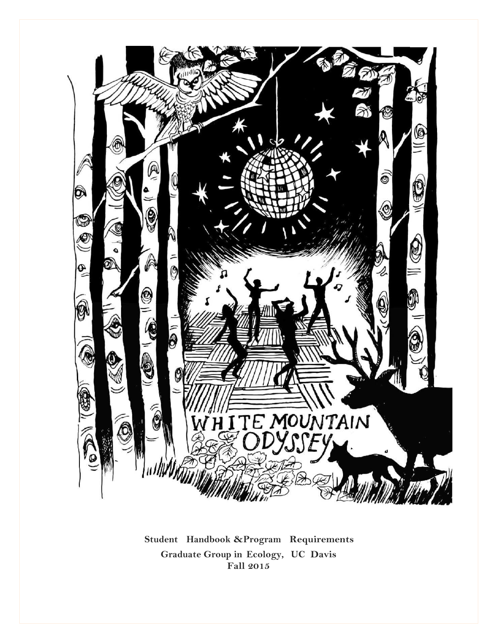

**Student Handbook &Program Requirements Graduate Group in Ecology, UC Davis Fall 2015**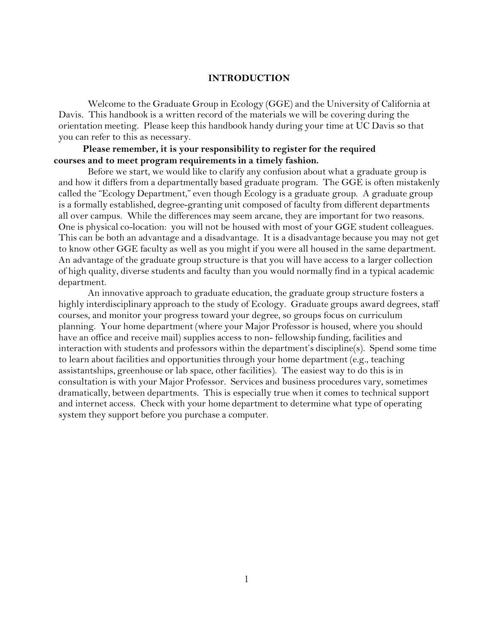### **INTRODUCTION**

Welcome to the Graduate Group in Ecology (GGE) and the University of California at Davis. This handbook is a written record of the materials we will be covering during the orientation meeting. Please keep this handbook handy during your time at UC Davis so that you can refer to this as necessary.

## **Please remember, it is your responsibility to register for the required courses and to meet program requirements in a timely fashion.**

Before we start, we would like to clarify any confusion about what a graduate group is and how it differs from a departmentally based graduate program. The GGE is often mistakenly called the "Ecology Department," even though Ecology is a graduate group. A graduate group is a formally established, degree-granting unit composed of faculty from different departments all over campus. While the differences may seem arcane, they are important for two reasons. One is physical co-location: you will not be housed with most of your GGE student colleagues. This can be both an advantage and a disadvantage. It is a disadvantage because you may not get to know other GGE faculty as well as you might if you were all housed in the same department. An advantage of the graduate group structure is that you will have access to a larger collection of high quality, diverse students and faculty than you would normally find in a typical academic department.

An innovative approach to graduate education, the graduate group structure fosters a highly interdisciplinary approach to the study of Ecology. Graduate groups award degrees, staff courses, and monitor your progress toward your degree, so groups focus on curriculum planning. Your home department (where your Major Professor is housed, where you should have an office and receive mail) supplies access to non- fellowship funding, facilities and interaction with students and professors within the department's discipline(s). Spend some time to learn about facilities and opportunities through your home department (e.g., teaching assistantships, greenhouse or lab space, other facilities). The easiest way to do this is in consultation is with your Major Professor. Services and business procedures vary, sometimes dramatically, between departments. This is especially true when it comes to technical support and internet access. Check with your home department to determine what type of operating system they support before you purchase a computer.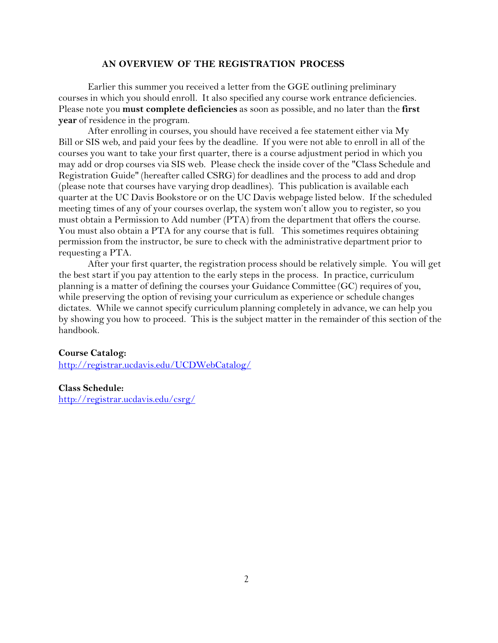### **AN OVERVIEW OF THE REGISTRATION PROCESS**

Earlier this summer you received a letter from the GGE outlining preliminary courses in which you should enroll. It also specified any course work entrance deficiencies. Please note you **must complete deficiencies** as soon as possible, and no later than the **first year** of residence in the program.

After enrolling in courses, you should have received a fee statement either via My Bill or SIS web, and paid your fees by the deadline. If you were not able to enroll in all of the courses you want to take your first quarter, there is a course adjustment period in which you may add or drop courses via SIS web. Please check the inside cover of the "Class Schedule and Registration Guide" (hereafter called CSRG) for deadlines and the process to add and drop (please note that courses have varying drop deadlines). This publication is available each quarter at the UC Davis Bookstore or on the UC Davis webpage listed below. If the scheduled meeting times of any of your courses overlap, the system won't allow you to register, so you must obtain a Permission to Add number (PTA) from the department that offers the course. You must also obtain a PTA for any course that is full. This sometimes requires obtaining permission from the instructor, be sure to check with the administrative department prior to requesting a PTA.

After your first quarter, the registration process should be relatively simple. You will get the best start if you pay attention to the early steps in the process. In practice, curriculum planning is a matter of defining the courses your Guidance Committee (GC) requires of you, while preserving the option of revising your curriculum as experience or schedule changes dictates. While we cannot specify curriculum planning completely in advance, we can help you by showing you how to proceed. This is the subject matter in the remainder of this section of the handbook.

### **Course Catalog:**

<http://registrar.ucdavis.edu/UCDWebCatalog/>

**Class Schedule:** <http://registrar.ucdavis.edu/csrg/>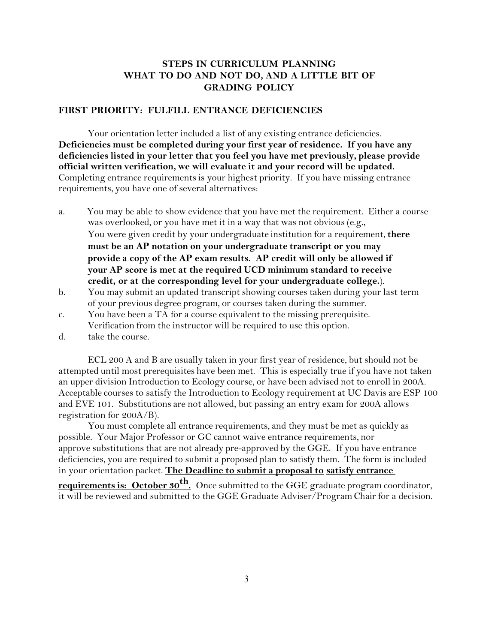# **STEPS IN CURRICULUM PLANNING WHAT TO DO AND NOT DO, AND A LITTLE BIT OF GRADING POLICY**

### **FIRST PRIORITY: FULFILL ENTRANCE DEFICIENCIES**

Your orientation letter included a list of any existing entrance deficiencies. **Deficiencies must be completed during your first year of residence. If you have any deficiencies listed in your letter that you feel you have met previously, please provide official written verification, we will evaluate it and your record will be updated.** Completing entrance requirementsis your highest priority. If you have missing entrance requirements, you have one of several alternatives:

- a. You may be able to show evidence that you have met the requirement. Either a course was overlooked, or you have met it in a way that was not obvious (e.g., You were given credit by your undergraduate institution for a requirement,**there must be an AP notation on your undergraduate transcript or you may provide a copy of the AP exam results. AP credit will only be allowed if your AP score is met at the required UCD minimum standard to receive credit, or at the corresponding level for your undergraduate college.**).
- b. You may submit an updated transcript showing courses taken during your last term of your previous degree program, or courses taken during the summer.
- c. You have been a TA for a course equivalent to the missing prerequisite. Verification from the instructor will be required to use this option.
- d. take the course.

ECL 200 A and B are usually taken in your first year of residence, but should not be attempted until most prerequisites have been met. This is especially true if you have not taken an upper division Introduction to Ecology course, or have been advised not to enroll in 200A. Acceptable courses to satisfy the Introduction to Ecology requirement at UC Davis are ESP 100 and EVE 101. Substitutions are not allowed, but passing an entry exam for 200A allows registration for 200A/B).

You must complete all entrance requirements, and they must be met as quickly as possible. Your Major Professor or GC cannot waive entrance requirements, nor approve substitutionsthat are not already pre-approved by the GGE. If you have entrance deficiencies, you are required to submit a proposed plan to satisfy them. The form is included in your orientation packet. **The Deadline to submit a proposal to satisfy entrance**

**requirements is: October 30th .** Once submitted to the GGE graduate program coordinator, it will be reviewed and submitted to the GGE Graduate Adviser/Program Chair for a decision.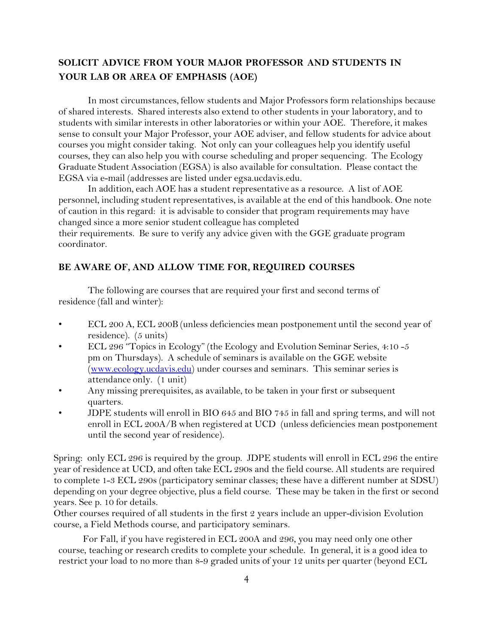# **SOLICIT ADVICE FROM YOUR MAJOR PROFESSOR AND STUDENTS IN YOUR LAB OR AREA OF EMPHASIS (AOE)**

In most circumstances, fellow students and Major Professors form relationships because of shared interests. Shared interests also extend to other students in your laboratory, and to students with similar interests in other laboratories or within your AOE. Therefore, it makes sense to consult your Major Professor, your AOE adviser, and fellow students for advice about courses you might consider taking. Not only can your colleagues help you identify useful courses, they can also help you with course scheduling and proper sequencing. The Ecology Graduate Student Association (EGSA) is also available for consultation. Please contact the EGSA via e-mail (addresses are listed under egsa.ucdavis.edu.

In addition, each AOE has a student representative as a resource. A list of AOE personnel, including student representatives, is available at the end of this handbook. One note of caution in this regard: it is advisable to consider that program requirements may have changed since a more senior student colleague has completed

their requirements. Be sure to verify any advice given with the GGE graduate program coordinator.

## **BE AWARE OF, AND ALLOW TIME FOR, REQUIRED COURSES**

The following are courses that are required your first and second terms of residence (fall and winter):

- ECL 200 A, ECL 200B (unless deficiencies mean postponement until the second year of residence). (5 units)
- ECL 296 "Topics in Ecology" (the Ecology and Evolution Seminar Series, 4:10 -5 pm on Thursdays). A schedule of seminars is available on the GGE website (www.ecology.ucdavis.edu) under courses and seminars. This seminar series is attendance only. (1 unit)
- Any missing prerequisites, as available, to be taken in your first or subsequent quarters.
- JDPE students will enroll in BIO 645 and BIO 745 in fall and spring terms, and will not enroll in ECL 200A/B when registered at UCD (unless deficiencies mean postponement until the second year of residence).

Spring: only ECL 296 is required by the group. JDPE students will enroll in ECL 296 the entire year of residence at UCD, and often take ECL 290s and the field course. All students are required to complete 1-3 ECL 290s (participatory seminar classes; these have a different number at SDSU) depending on your degree objective, plus a field course. These may be taken in the first or second years. See p. 10 for details.

Other courses required of all students in the first 2 years include an upper-division Evolution course, a Field Methods course, and participatory seminars.

For Fall, if you have registered in ECL 200A and 296, you may need only one other course, teaching or research credits to complete your schedule. In general, it is a good idea to restrict your load to no more than 8-9 graded units of your 12 units per quarter (beyond ECL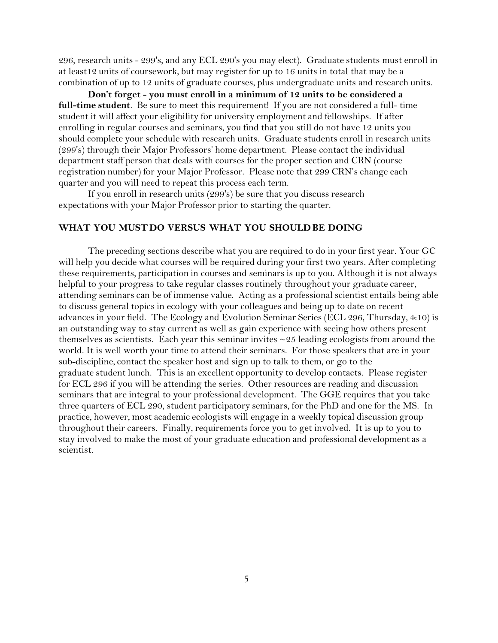296, research units - 299's, and any ECL 290's you may elect). Graduate students must enroll in at least12 units of coursework, but may register for up to 16 units in total that may be a combination of up to 12 units of graduate courses, plus undergraduate units and research units.

**Don't forget - you must enroll in a minimum of 12 units to be considered a full-time student**. Be sure to meet this requirement! If you are not considered a full- time student it will affect your eligibility for university employment and fellowships. If after enrolling in regular courses and seminars, you find that you still do not have 12 units you should complete your schedule with research units. Graduate students enroll in research units (299's) through their Major Professors' home department. Please contact the individual department staff person that deals with courses for the proper section and CRN (course registration number) for your Major Professor. Please note that 299 CRN's change each quarter and you will need to repeat this process each term.

If you enroll in research units (299's) be sure that you discuss research expectations with your Major Professor prior to starting the quarter.

## **WHAT YOU MUSTDO VERSUS WHAT YOU SHOULDBE DOING**

The preceding sections describe what you are required to do in your first year. Your GC will help you decide what courses will be required during your first two years. After completing these requirements, participation in courses and seminars is up to you. Although it is not always helpful to your progress to take regular classes routinely throughout your graduate career, attending seminars can be of immense value. Acting as a professional scientist entails being able to discuss general topics in ecology with your colleagues and being up to date on recent advances in your field. The Ecology and Evolution Seminar Series (ECL 296, Thursday, 4:10) is an outstanding way to stay current as well as gain experience with seeing how others present themselves as scientists. Each year this seminar invites  $\sim$  25 leading ecologists from around the world. It is well worth your time to attend their seminars. For those speakers that are in your sub-discipline, contact the speaker host and sign up to talk to them, or go to the graduate student lunch. This is an excellent opportunity to develop contacts. Please register for ECL 296 if you will be attending the series. Other resources are reading and discussion seminars that are integral to your professional development. The GGE requires that you take three quarters of ECL 290, student participatory seminars, for the PhD and one for the MS. In practice, however, most academic ecologists will engage in a weekly topical discussion group throughout their careers. Finally, requirementsforce you to get involved. It is up to you to stay involved to make the most of your graduate education and professional development as a scientist.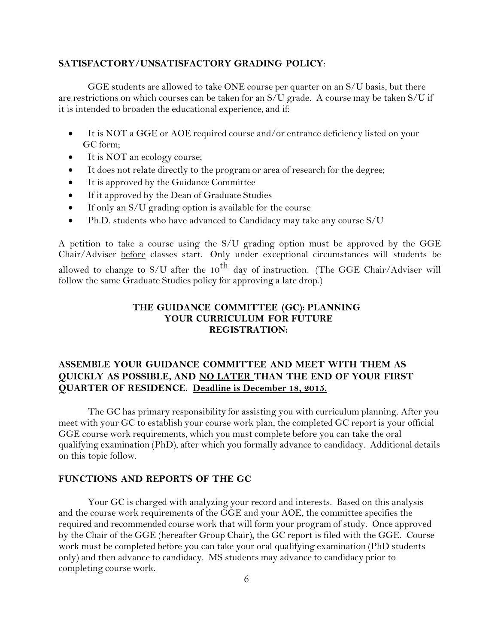## **SATISFACTORY/UNSATISFACTORY GRADING POLICY**:

GGE students are allowed to take ONE course per quarter on an S/U basis, but there are restrictions on which courses can be taken for an S/U grade. A course may be taken S/U if it is intended to broaden the educational experience, and if:

- It is NOT a GGE or AOE required course and/or entrance deficiency listed on your GC form;
- It is NOT an ecology course;
- It does not relate directly to the program or area of research for the degree;
- It is approved by the Guidance Committee
- If it approved by the Dean of Graduate Studies
- $\bullet$  If only an S/U grading option is available for the course
- Ph.D. students who have advanced to Candidacy may take any course S/U

A petition to take a course using the S/U grading option must be approved by the GGE Chair/Adviser before classes start. Only under exceptional circumstances will students be allowed to change to S/U after the  $10^{th}$  day of instruction. (The GGE Chair/Adviser will follow the same Graduate Studies policy for approving a late drop.)

## **THE GUIDANCE COMMITTEE (GC): PLANNING YOUR CURRICULUM FOR FUTURE REGISTRATION:**

# **ASSEMBLE YOUR GUIDANCE COMMITTEE AND MEET WITH THEM AS QUICKLY AS POSSIBLE, AND NO LATER THAN THE END OF YOUR FIRST QUARTER OF RESIDENCE. Deadline is December 18, 2015.**

The GC has primary responsibility for assisting you with curriculum planning. After you meet with your GC to establish your course work plan, the completed GC report is your official GGE course work requirements, which you must complete before you can take the oral qualifying examination (PhD), after which you formally advance to candidacy. Additional details on this topic follow.

## **FUNCTIONS AND REPORTS OF THE GC**

Your GC is charged with analyzing your record and interests. Based on this analysis and the course work requirements of the GGE and your AOE, the committee specifies the required and recommended course work that will form your program of study. Once approved by the Chair of the GGE (hereafter Group Chair), the GC report is filed with the GGE. Course work must be completed before you can take your oral qualifying examination (PhD students only) and then advance to candidacy. MS students may advance to candidacy prior to completing course work.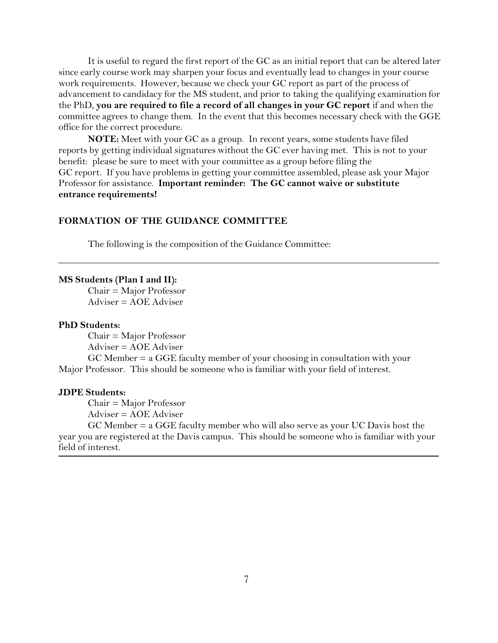It is useful to regard the first report of the GC as an initial report that can be altered later since early course work may sharpen your focus and eventually lead to changes in your course work requirements. However, because we check your GC report as part of the process of advancement to candidacy for the MS student, and prior to taking the qualifying examination for the PhD, **you are required to file a record of all changes in your GC report** if and when the committee agrees to change them. In the event that this becomes necessary check with the GGE office for the correct procedure.

**NOTE:** Meet with your GC as a group. In recent years, some students have filed reports by getting individual signatures without the GC ever having met. This is not to your benefit: please be sure to meet with your committee as a group before filing the GC report. If you have problems in getting your committee assembled, please ask your Major Professor for assistance. **Important reminder: The GC cannot waive or substitute entrance requirements!**

## **FORMATION OF THE GUIDANCE COMMITTEE**

The following is the composition of the Guidance Committee:

#### **MS Students (Plan I and II):**

Chair = Major Professor Adviser = AOE Adviser

### **PhD Students:**

Chair = Major Professor Adviser = AOE Adviser

GC Member = a GGE faculty member of your choosing in consultation with your Major Professor. This should be someone who is familiar with your field of interest.

### **JDPE Students:**

Chair = Major Professor

Adviser = AOE Adviser

GC Member = a GGE faculty member who will also serve as your UC Davis host the year you are registered at the Davis campus. This should be someone who is familiar with your field of interest.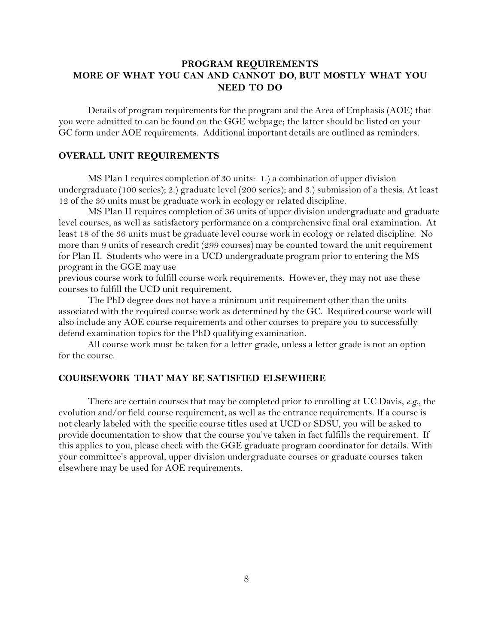# **PROGRAM REQUIREMENTS MORE OF WHAT YOU CAN AND CANNOT DO, BUT MOSTLY WHAT YOU NEED TO DO**

Details of program requirements for the program and the Area of Emphasis (AOE) that you were admitted to can be found on the GGE webpage; the latter should be listed on your GC form under AOE requirements. Additional important details are outlined as reminders.

## **OVERALL UNIT REQUIREMENTS**

MS Plan I requires completion of 30 units: 1.) a combination of upper division undergraduate (100 series); 2.) graduate level (200 series); and 3.) submission of a thesis. At least 12 of the 30 units must be graduate work in ecology or related discipline.

MS Plan II requires completion of 36 units of upper division undergraduate and graduate level courses, as well as satisfactory performance on a comprehensive final oral examination. At least 18 of the 36 units must be graduate level course work in ecology or related discipline. No more than 9 units of research credit (299 courses) may be counted toward the unit requirement for Plan II. Students who were in a UCD undergraduate program prior to entering the MS program in the GGE may use

previous course work to fulfill course work requirements. However, they may not use these courses to fulfill the UCD unit requirement.

The PhD degree does not have a minimum unit requirement other than the units associated with the required course work as determined by the GC. Required course work will also include any AOE course requirements and other courses to prepare you to successfully defend examination topics for the PhD qualifying examination.

All course work must be taken for a letter grade, unless a letter grade is not an option for the course.

## **COURSEWORK THAT MAY BE SATISFIED ELSEWHERE**

There are certain courses that may be completed prior to enrolling at UC Davis, *e.g*., the evolution and/or field course requirement, as well as the entrance requirements. If a course is not clearly labeled with the specific course titles used at UCD or SDSU, you will be asked to provide documentation to show that the course you've taken in fact fulfills the requirement. If this applies to you, please check with the GGE graduate program coordinator for details. With your committee's approval, upper division undergraduate courses or graduate courses taken elsewhere may be used for AOE requirements.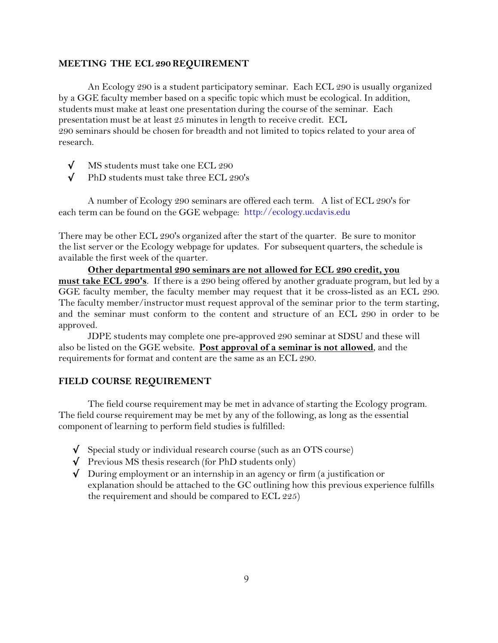## **MEETING THE ECL 290 REQUIREMENT**

An Ecology 290 is a student participatory seminar. Each ECL 290 is usually organized by a GGE faculty member based on a specific topic which must be ecological. In addition, students must make at least one presentation during the course of the seminar. Each presentation must be at least 25 minutes in length to receive credit. ECL 290 seminars should be chosen for breadth and not limited to topics related to your area of research.

- √ MS students must take one ECL 290
- √ PhD students must take three ECL 290's

A number of Ecology 290 seminars are offered each term. A list of ECL 290's for each term can be found on the GGE webpage: http://ecology.ucdavis.edu

There may be other ECL 290's organized after the start of the quarter. Be sure to monitor the list server or the Ecology webpage for updates. For subsequent quarters, the schedule is available the first week of the quarter.

**Other departmental 290 seminars are not allowed for ECL 290 credit, you must take ECL 290's**. If there is a 290 being offered by another graduate program, but led by a GGE faculty member, the faculty member may request that it be cross-listed as an ECL 290. The faculty member/instructor must request approval of the seminar prior to the term starting, and the seminar must conform to the content and structure of an ECL 290 in order to be approved.

JDPE students may complete one pre-approved 290 seminar at SDSU and these will also be listed on the GGE website. **Post approval of a seminar is not allowed**, and the requirements for format and content are the same as an ECL 290.

### **FIELD COURSE REQUIREMENT**

The field course requirement may be met in advance of starting the Ecology program. The field course requirement may be met by any of the following, as long as the essential component of learning to perform field studies is fulfilled:

- $\sqrt{\ }$  Special study or individual research course (such as an OTS course)
- $\sqrt{\phantom{a}}$  Previous MS thesis research (for PhD students only)
- √ During employment or an internship in an agency or firm (a justification or explanation should be attached to the GC outlining how this previous experience fulfills the requirement and should be compared to ECL 225)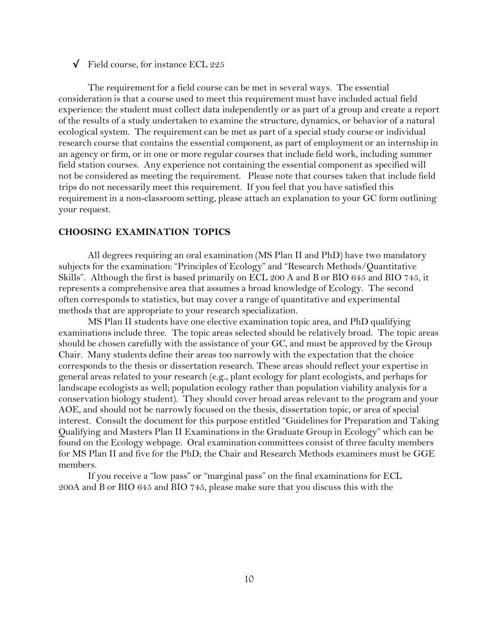### $\sqrt{\phantom{a}}$  Field course, for instance ECL 225

The requirement for a field course can be met in several ways. The essential consideration is that a course used to meet this requirement must have included actual field experience: the student must collect data independently or as part of a group and create a report of the results of a study undertaken to examine the structure, dynamics, or behavior of a natural ecological system. The requirement can be met as part of a special study course or individual research course that contains the essential component, as part of employment or an internship in an agency or firm, or in one or more regular courses that include field work, including summer field station courses. Any experience not containing the essential component as specified will not be considered as meeting the requirement. Please note that courses taken that include field trips do not necessarily meet this requirement. If you feel that you have satisfied this requirement in a non-classroom setting, please attach an explanation to your GC form outlining your request.

## **CHOOSING EXAMINATION TOPICS**

All degrees requiring an oral examination (MS Plan II and PhD) have two mandatory subjects for the examination: "Principles of Ecology" and "Research Methods/Quantitative Skills". Although the first is based primarily on ECL 200 A and B or BIO 645 and BIO 745, it represents a comprehensive area that assumes a broad knowledge of Ecology. The second often correspondsto statistics, but may cover a range of quantitative and experimental methods that are appropriate to your research specialization.

MS Plan II students have one elective examination topic area, and PhD qualifying examinationsinclude three. The topic areas selected should be relatively broad. The topic areas should be chosen carefully with the assistance of your GC, and must be approved by the Group Chair. Many students define their areas too narrowly with the expectation that the choice corresponds to the thesis or dissertation research. These areas should reflect your expertise in general areas related to your research (e.g., plant ecology for plant ecologists, and perhaps for landscape ecologists as well; population ecology rather than population viability analysis for a conservation biology student). They should cover broad areas relevant to the program and your AOE, and should not be narrowly focused on the thesis, dissertation topic, or area of special interest. Consult the document for this purpose entitled "Guidelines for Preparation and Taking Qualifying and Masters Plan II Examinationsin the Graduate Group in Ecology" which can be found on the Ecology webpage. Oral examination committees consist of three faculty members for MS Plan II and five for the PhD; the Chair and Research Methods examiners must be GGE members.

If you receive a "low pass" or "marginal pass" on the final examinationsfor ECL 200A and B or BIO 645 and BIO 745, please make sure that you discuss this with the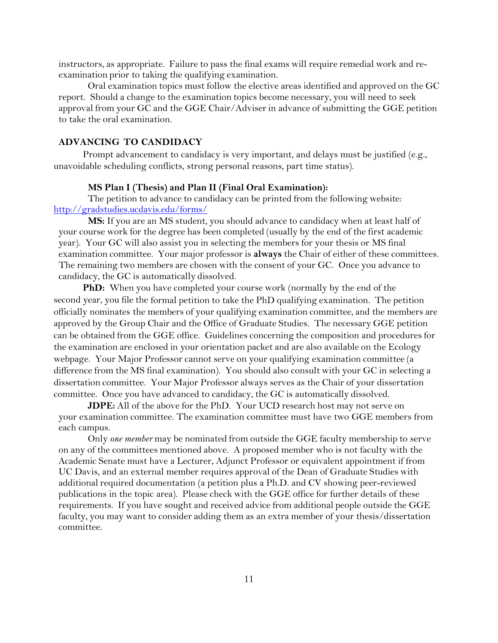instructors, as appropriate. Failure to pass the final exams will require remedial work and reexamination prior to taking the qualifying examination.

Oral examination topics must follow the elective areas identified and approved on the GC report. Should a change to the examination topics become necessary, you will need to seek approval from your GC and the GGE Chair/Adviserin advance of submitting the GGE petition to take the oral examination.

## **ADVANCING TO CANDIDACY**

Prompt advancement to candidacy is very important, and delays must be justified (e.g., unavoidable scheduling conflicts, strong personal reasons, part time status).

## **MS Plan I (Thesis) and Plan II (Final Oral Examination):**

The petition to advance to candidacy can be printed from the following website: <http://gradstudies.ucdavis.edu/forms/>

**MS:** If you are an MS student, you should advance to candidacy when at least half of your course work for the degree has been completed (usually by the end of the first academic year). Your GC will also assist you in selecting the members for your thesis or MS final examination committee. Your major professor is **always** the Chair of either of these committees. The remaining two members are chosen with the consent of your GC. Once you advance to candidacy, the GC is automatically dissolved.

**PhD:** When you have completed your course work (normally by the end of the second year, you file the formal petition to take the PhD qualifying examination. The petition officially nominates the members of your qualifying examination committee, and the members are approved by the Group Chair and the Office of Graduate Studies. The necessary GGE petition can be obtained from the GGE office. Guidelines concerning the composition and procedures for the examination are enclosed in your orientation packet and are also available on the Ecology webpage. Your Major Professor cannot serve on your qualifying examination committee (a difference from the MS final examination). You should also consult with your GC in selecting a dissertation committee. Your Major Professor always serves as the Chair of your dissertation committee. Once you have advanced to candidacy, the GC is automatically dissolved.

**JDPE:** All of the above for the PhD. Your UCD research host may not serve on your examination committee. The examination committee must have two GGE members from each campus.

Only *one member* may be nominated from outside the GGE faculty membership to serve on any of the committees mentioned above. A proposed member who is not faculty with the Academic Senate must have a Lecturer, Adjunct Professor or equivalent appointment if from UC Davis, and an external member requires approval of the Dean of Graduate Studies with additional required documentation (a petition plus a Ph.D. and CV showing peer-reviewed publications in the topic area). Please check with the GGE office for further details of these requirements. If you have sought and received advice from additional people outside the GGE faculty, you may want to consider adding them as an extra member of your thesis/dissertation committee.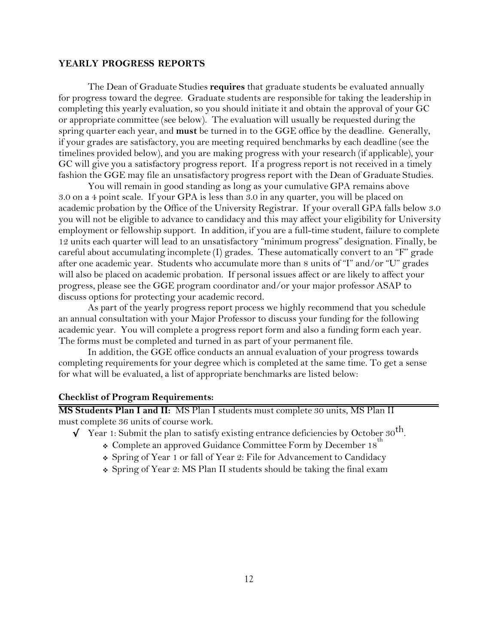### **YEARLY PROGRESS REPORTS**

The Dean of Graduate Studies **requires** that graduate students be evaluated annually for progress toward the degree. Graduate students are responsible for taking the leadership in completing this yearly evaluation, so you should initiate it and obtain the approval of your GC or appropriate committee (see below). The evaluation will usually be requested during the spring quarter each year, and **must** be turned in to the GGE office by the deadline. Generally, if your grades are satisfactory, you are meeting required benchmarks by each deadline (see the timelines provided below), and you are making progress with your research (if applicable), your GC will give you a satisfactory progress report. If a progress report is not received in a timely fashion the GGE may file an unsatisfactory progress report with the Dean of Graduate Studies.

You will remain in good standing as long as your cumulative GPA remains above 3.0 on a 4 point scale. If your GPA is less than 3.0 in any quarter, you will be placed on academic probation by the Office of the University Registrar. If your overall GPA falls below 3.0 you will not be eligible to advance to candidacy and this may affect your eligibility for University employment or fellowship support. In addition, if you are a full-time student, failure to complete 12 units each quarter will lead to an unsatisfactory "minimum progress" designation. Finally, be careful about accumulating incomplete (I) grades. These automatically convert to an "F" grade after one academic year. Students who accumulate more than 8 units of "I" and/or "U" grades will also be placed on academic probation. If personal issues affect or are likely to affect your progress, please see the GGE program coordinator and/or your major professor ASAP to discuss options for protecting your academic record.

As part of the yearly progress report process we highly recommend that you schedule an annual consultation with your Major Professor to discuss your funding for the following academic year. You will complete a progress report form and also a funding form each year. The forms must be completed and turned in as part of your permanent file.

In addition, the GGE office conducts an annual evaluation of your progress towards completing requirements for your degree which is completed at the same time. To get a sense for what will be evaluated, a list of appropriate benchmarks are listed below:

## **Checklist of Program Requirements:**

**MS Students Plan I and II:** MS Plan I students must complete 30 units, MS Plan II must complete 36 units of course work.

- $\sqrt{\frac{1}{\pi}}$  Year 1: Submit the plan to satisfy existing entrance deficiencies by October 30<sup>th</sup>.
	- $\div$  Complete an approved Guidance Committee Form by December 18
	- Spring of Year 1 or fall of Year 2: File for Advancement to Candidacy
	- Spring of Year 2: MS Plan II students should be taking the final exam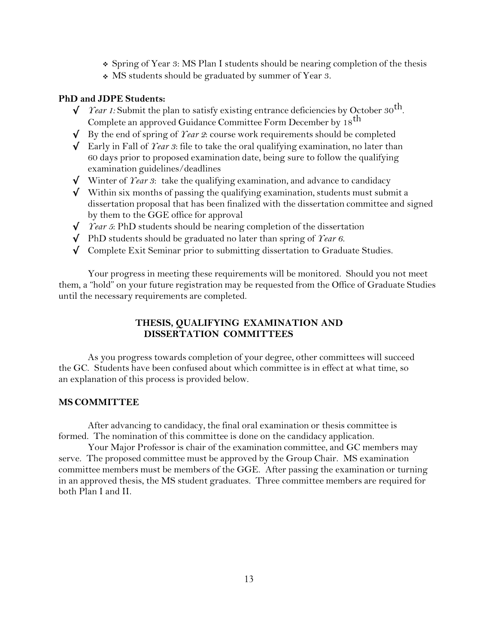- Spring of Year 3: MS Plan I students should be nearing completion of the thesis
- MS students should be graduated by summer of Year 3.

## **PhD and JDPE Students:**

- $\sqrt{\phantom{a}$  *Year 1:* Submit the plan to satisfy existing entrance deficiencies by October 30<sup>th</sup>. Complete an approved Guidance Committee Form December by 18 th
- $\sqrt{\phantom{a}}$  By the end of spring of *Year 2*: course work requirements should be completed
- √ Early in Fall of *Year 3*: file to take the oral qualifying examination, no later than 60 days prior to proposed examination date, being sure to follow the qualifying examination guidelines/deadlines
- √ Winter of *Year 3*: take the qualifying examination, and advance to candidacy
- $\sqrt{\phantom{a}}$  Within six months of passing the qualifying examination, students must submit a dissertation proposal that has been finalized with the dissertation committee and signed by them to the GGE office for approval
- √ *Year 5*: PhD students should be nearing completion of the dissertation
- √ PhD students should be graduated no later than spring of *Year 6.*
- √ Complete Exit Seminar prior to submitting dissertation to Graduate Studies.

Your progress in meeting these requirements will be monitored. Should you not meet them, a "hold" on your future registration may be requested from the Office of Graduate Studies until the necessary requirements are completed.

## **THESIS, QUALIFYING EXAMINATION AND DISSERTATION COMMITTEES**

As you progress towards completion of your degree, other committees will succeed the GC. Students have been confused about which committee is in effect at what time, so an explanation of this process is provided below.

## **MS COMMITTEE**

After advancing to candidacy, the final oral examination or thesis committee is formed. The nomination of this committee is done on the candidacy application.

Your Major Professor is chair of the examination committee, and GC members may serve. The proposed committee must be approved by the Group Chair. MS examination committee members must be members of the GGE. After passing the examination or turning in an approved thesis, the MS student graduates. Three committee members are required for both Plan I and II.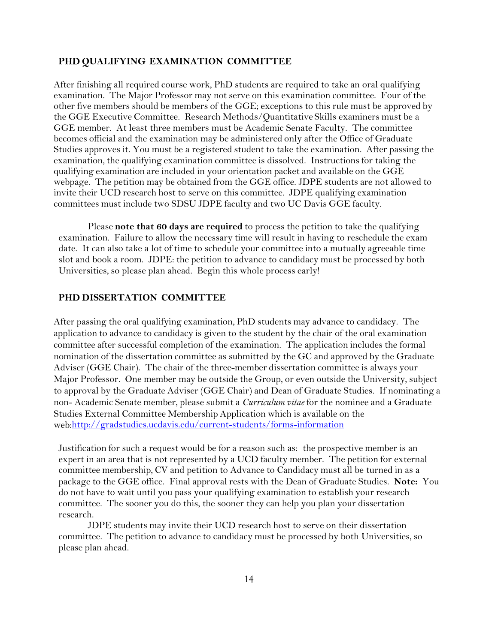## **PHD QUALIFYING EXAMINATION COMMITTEE**

After finishing all required course work, PhD students are required to take an oral qualifying examination. The Major Professor may not serve on this examination committee. Four of the other five members should be members of the GGE; exceptions to this rule must be approved by the GGE Executive Committee. Research Methods/Quantitative Skills examiners must be a GGE member. At least three members must be Academic Senate Faculty. The committee becomes official and the examination may be administered only after the Office of Graduate Studies approves it. You must be a registered student to take the examination. After passing the examination, the qualifying examination committee is dissolved. Instructions for taking the qualifying examination are included in your orientation packet and available on the GGE webpage. The petition may be obtained from the GGE office. JDPE students are not allowed to invite their UCD research host to serve on this committee. JDPE qualifying examination committees must include two SDSU JDPE faculty and two UC Davis GGE faculty.

Please **note that 60 days are required** to process the petition to take the qualifying examination. Failure to allow the necessary time will result in having to reschedule the exam date. It can also take a lot of time to schedule your committee into a mutually agreeable time slot and book a room. JDPE: the petition to advance to candidacy must be processed by both Universities, so please plan ahead. Begin this whole process early!

## **PHD DISSERTATION COMMITTEE**

After passing the oral qualifying examination, PhD students may advance to candidacy. The application to advance to candidacy is given to the student by the chair of the oral examination committee after successful completion of the examination. The application includes the formal nomination of the dissertation committee as submitted by the GC and approved by the Graduate Adviser (GGE Chair). The chair of the three-member dissertation committee is always your Major Professor. One member may be outside the Group, or even outside the University, subject to approval by the Graduate Adviser (GGE Chair) and Dean of Graduate Studies. If nominating a non- Academic Senate member, please submit a *Curriculum vitae* for the nominee and a Graduate Studies External Committee Membership Application which is available on the web:http://gradstudies.ucdavis.edu/current-students/forms-information

Justification for such a request would be for a reason such as: the prospective member is an expert in an area that is not represented by a UCD faculty member. The petition for external committee membership, CV and petition to Advance to Candidacy must all be turned in as a package to the GGE office. Final approval rests with the Dean of Graduate Studies. **Note:** You do not have to wait until you pass your qualifying examination to establish your research committee. The sooner you do this, the sooner they can help you plan your dissertation research.

JDPE students may invite their UCD research host to serve on their dissertation committee. The petition to advance to candidacy must be processed by both Universities, so please plan ahead.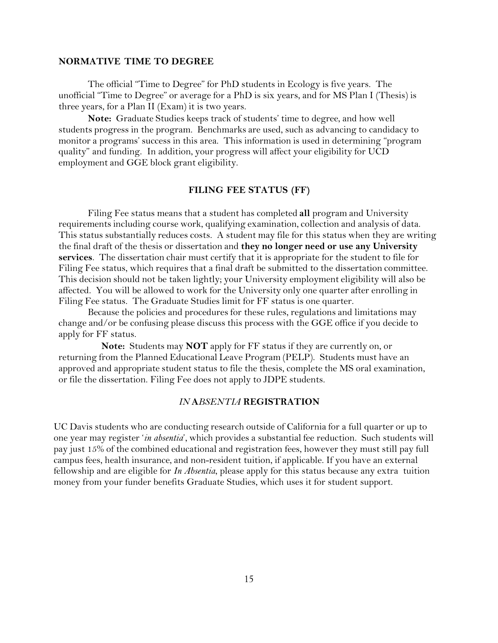#### **NORMATIVE TIME TO DEGREE**

The official "Time to Degree" for PhD students in Ecology is five years. The unofficial "Time to Degree" or average for a PhD is six years, and for MS Plan I (Thesis) is three years, for a Plan II (Exam) it is two years.

**Note:** Graduate Studies keeps track of students' time to degree, and how well students progress in the program. Benchmarks are used, such as advancing to candidacy to monitor a programs' success in this area. This information is used in determining "program quality" and funding. In addition, your progress will affect your eligibility for UCD employment and GGE block grant eligibility.

### **FILING FEE STATUS (FF)**

Filing Fee status means that a student has completed **all** program and University requirements including course work, qualifying examination, collection and analysis of data. This status substantially reduces costs. A student may file for this status when they are writing the final draft of the thesis or dissertation and **they no longer need or use any University services**. The dissertation chair must certify that it is appropriate for the student to file for Filing Fee status, which requires that a final draft be submitted to the dissertation committee. This decision should not be taken lightly; your University employment eligibility will also be affected. You will be allowed to work for the University only one quarter after enrolling in Filing Fee status. The Graduate Studies limit for FF status is one quarter.

Because the policies and procedures for these rules, regulations and limitations may change and/or be confusing please discuss this process with the GGE office if you decide to apply for FF status.

**Note:** Students may **NOT** apply for FF status if they are currently on, or returning from the Planned Educational Leave Program (PELP). Students must have an approved and appropriate student status to file the thesis, complete the MS oral examination, or file the dissertation. Filing Fee does not apply to JDPE students.

## *IN* **A***BSENTIA* **REGISTRATION**

UC Davis students who are conducting research outside of California for a full quarter or up to one year may register '*in absentia*', which provides a substantial fee reduction. Such students will pay just 15% of the combined educational and registration fees, however they must still pay full campus fees, health insurance, and non-resident tuition, if applicable. If you have an external fellowship and are eligible for *In Absentia*, please apply for this status because any extra tuition money from your funder benefits Graduate Studies, which uses it for student support.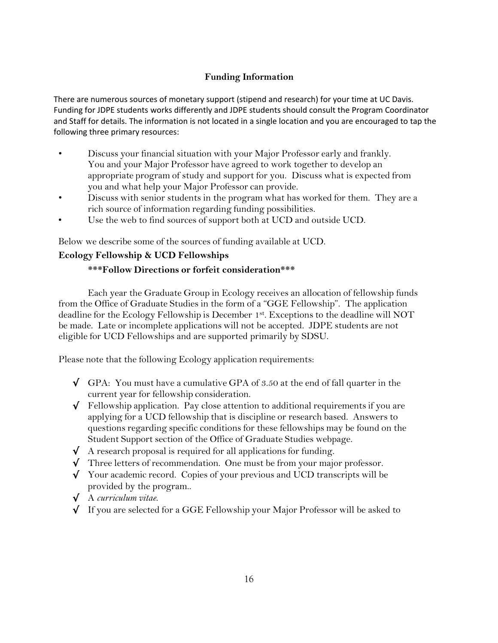# **Funding Information**

There are numerous sources of monetary support (stipend and research) for your time at UC Davis. Funding for JDPE students works differently and JDPE students should consult the Program Coordinator and Staff for details. The information is not located in a single location and you are encouraged to tap the following three primary resources:

- Discuss your financial situation with your Major Professor early and frankly. You and your Major Professor have agreed to work together to develop an appropriate program of study and support for you. Discuss what is expected from you and what help your Major Professor can provide.
- Discuss with senior students in the program what has worked for them. They are a rich source of information regarding funding possibilities.
- Use the web to find sources of support both at UCD and outside UCD.

Below we describe some of the sources of funding available at UCD.

# **Ecology Fellowship & UCD Fellowships**

## **\*\*\*Follow Directions or forfeit consideration\*\*\***

Each year the Graduate Group in Ecology receives an allocation of fellowship funds from the Office of Graduate Studies in the form of a "GGE Fellowship". The application deadline for the Ecology Fellowship is December 1st. Exceptions to the deadline will NOT be made. Late or incomplete applications will not be accepted. JDPE students are not eligible for UCD Fellowships and are supported primarily by SDSU.

Please note that the following Ecology application requirements:

- $\sqrt{GPA}$ : You must have a cumulative GPA of 3.50 at the end of fall quarter in the current year for fellowship consideration.
- $\sqrt{\phantom{a}}$  Fellowship application. Pay close attention to additional requirements if you are applying for a UCD fellowship that is discipline or research based. Answers to questions regarding specific conditions for these fellowships may be found on the Student Support section of the Office of Graduate Studies webpage.
- $\sqrt{\phantom{a}}$  A research proposal is required for all applications for funding.
- √ Three letters of recommendation. One must be from your major professor.
- √ Your academic record. Copies of your previous and UCD transcripts will be provided by the program..
- √ A *curriculum vitae*.
- √ If you are selected for a GGE Fellowship your Major Professor will be asked to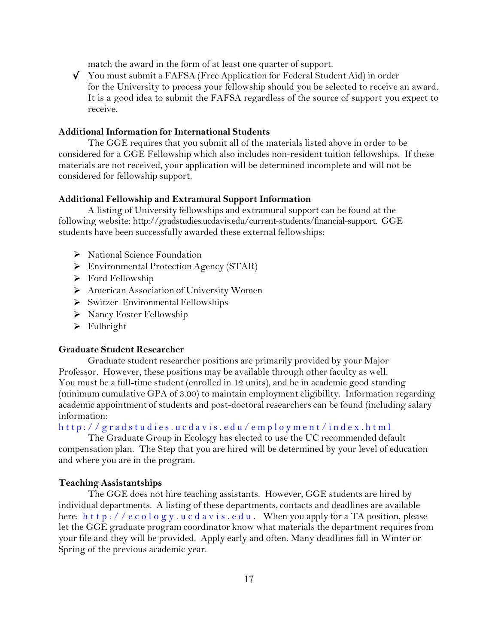match the award in the form of at least one quarter of support.

√ You must submit a FAFSA (Free Application for Federal Student Aid) in order for the University to process your fellowship should you be selected to receive an award. It is a good idea to submit the FAFSA regardless of the source of support you expect to receive.

## **Additional Information for International Students**

The GGE requires that you submit all of the materials listed above in order to be considered for a GGE Fellowship which also includes non-resident tuition fellowships. If these materials are not received, your application will be determined incomplete and will not be considered for fellowship support.

### **Additional Fellowship and Extramural Support Information**

A listing of University fellowships and extramural support can be found at the following website: http://gradstudies.ucdavis.edu/current-students/financial-support. GGE students have been successfully awarded these external fellowships:

- ▶ National Science Foundation
- Environmental Protection Agency (STAR)
- $\triangleright$  Ford Fellowship
- American Association of University Women
- $\triangleright$  Switzer Environmental Fellowships
- $\triangleright$  Nancy Foster Fellowship
- > Fulbright

### **Graduate Student Researcher**

Graduate student researcher positions are primarily provided by your Major Professor. However, these positions may be available through other faculty as well. You must be a full-time student (enrolled in 12 units), and be in academic good standing (minimum cumulative GPA of 3.00) to maintain employment eligibility. Information regarding academic appointment of students and post-doctoral researchers can be found (including salary information:

http://gradstudies.ucdavis.edu/employment/index.html

The Graduate Group in Ecology has elected to use the UC recommended default compensation plan. The Step that you are hired will be determined by your level of education and where you are in the program.

## **Teaching Assistantships**

The GGE does not hire teaching assistants. However, GGE students are hired by individual departments. A listing of these departments, contacts and deadlines are available here:  $h \text{ t t p}$ : //e c o l o g y . u c d a v i s . e d u . When you apply for a TA position, please let the GGE graduate program coordinator know what materials the department requires from your file and they will be provided. Apply early and often. Many deadlines fall in Winter or Spring of the previous academic year.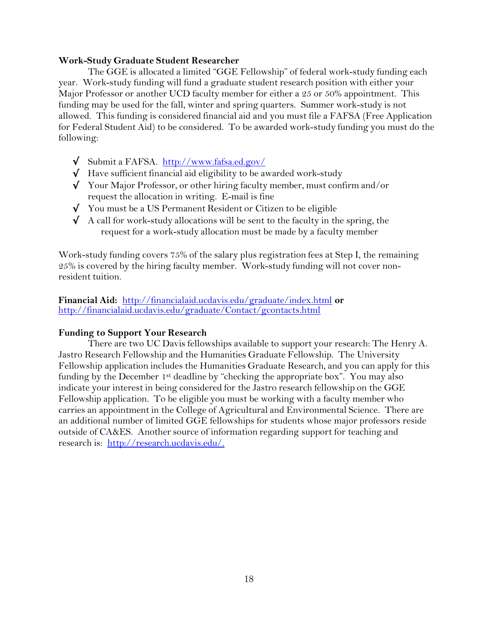### **Work-Study Graduate Student Researcher**

The GGE is allocated a limited "GGE Fellowship" of federal work-study funding each year. Work-study funding will fund a graduate student research position with either your Major Professor or another UCD faculty member for either a 25 or 50% appointment. This funding may be used for the fall, winter and spring quarters. Summer work-study is not allowed. This funding is considered financial aid and you must file a FAFSA (Free Application for Federal Student Aid) to be considered. To be awarded work-study funding you must do the following:

- √ Submit a FAFSA. <http://www.fafsa.ed.gov/>
- √ Have sufficient financial aid eligibility to be awarded work-study
- $\sqrt{\phantom{a}}$  Your Major Professor, or other hiring faculty member, must confirm and/or request the allocation in writing. E-mail is fine
- √ You must be a US Permanent Resident or Citizen to be eligible
- $\checkmark$  A call for work-study allocations will be sent to the faculty in the spring, the request for a work-study allocation must be made by a faculty member

Work-study funding covers 75% of the salary plus registration fees at Step I, the remaining 25% is covered by the hiring faculty member. Work-study funding will not cover nonresident tuition.

**Financial Aid:** <http://financialaid.ucdavis.edu/graduate/index.html> **or**  <http://financialaid.ucdavis.edu/graduate/Contact/gcontacts.html>

## **Funding to Support Your Research**

There are two UC Davis fellowships available to support your research: The Henry A. Jastro Research Fellowship and the Humanities Graduate Fellowship. The University Fellowship application includes the Humanities Graduate Research, and you can apply for this funding by the December 1<sup>st</sup> deadline by "checking the appropriate box". You may also indicate your interest in being considered for the Jastro research fellowship on the GGE Fellowship application. To be eligible you must be working with a faculty member who carries an appointment in the College of Agricultural and Environmental Science. There are an additional number of limited GGE fellowships for students whose major professors reside outside of CA&ES. Another source of information regarding support for teaching and research is: [http://research.ucdavis.edu/.](http://research.ucdavis.edu/)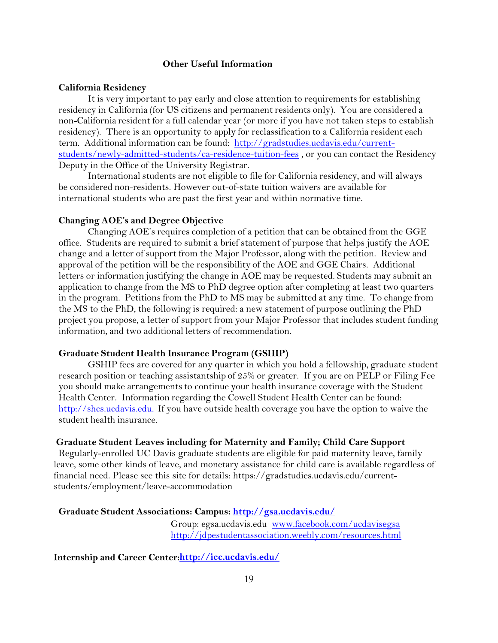## **Other Useful Information**

### **California Residency**

It is very important to pay early and close attention to requirements for establishing residency in California (for US citizens and permanent residents only). You are considered a non-California resident for a full calendar year (or more if you have not taken steps to establish residency). There is an opportunity to apply for reclassification to a California resident each term. Additional information can be found: [http://gradstudies.ucdavis.edu/current](http://gradstudies.ucdavis.edu/current-students/newly-admitted-students/ca-residence-tuition-fees)[students/newly-admitted-students/ca-residence-tuition-fees](http://gradstudies.ucdavis.edu/current-students/newly-admitted-students/ca-residence-tuition-fees) , or you can contact the Residency Deputy in the Office of the University Registrar.

International students are not eligible to file for California residency, and will always be considered non-residents. However out-of-state tuition waivers are available for international students who are past the first year and within normative time.

#### **Changing AOE's and Degree Objective**

Changing AOE's requires completion of a petition that can be obtained from the GGE office. Students are required to submit a brief statement of purpose that helps justify the AOE change and a letter of support from the Major Professor, along with the petition. Review and approval of the petition will be the responsibility of the AOE and GGE Chairs. Additional letters or information justifying the change in AOE may be requested. Students may submit an application to change from the MS to PhD degree option after completing at least two quarters in the program. Petitions from the PhD to MS may be submitted at any time. To change from the MS to the PhD, the following is required: a new statement of purpose outlining the PhD project you propose, a letter of support from your Major Professor that includes student funding information, and two additional letters of recommendation.

#### **Graduate Student Health Insurance Program (GSHIP)**

GSHIP fees are covered for any quarter in which you hold a fellowship, graduate student research position or teaching assistantship of 25% or greater. If you are on PELP or Filing Fee you should make arrangements to continue your health insurance coverage with the Student Health Center. Information regarding the Cowell Student Health Center can be found: [http://shcs.ucdavis.edu.](http://shcs.ucdavis.edu./) If you have outside health coverage you have the option to waive the student health insurance.

## **Graduate Student Leaves including for Maternity and Family; Child Care Support**

Regularly-enrolled UC Davis graduate students are eligible for paid maternity leave, family leave, some other kinds of leave, and monetary assistance for child care is available regardless of financial need. Please see this site for details: https://gradstudies.ucdavis.edu/currentstudents/employment/leave-accommodation

### **Graduate Student Associations: Campus: <http://gsa.ucdavis.edu/>**

Group: egsa.ucdavis.edu [www.facebook.com/ucdavisegsa](http://www.facebook.com/ucdavisegsa) <http://jdpestudentassociation.weebly.com/resources.html>

## **Internship and Career Center:http://icc.ucdavis.edu/**